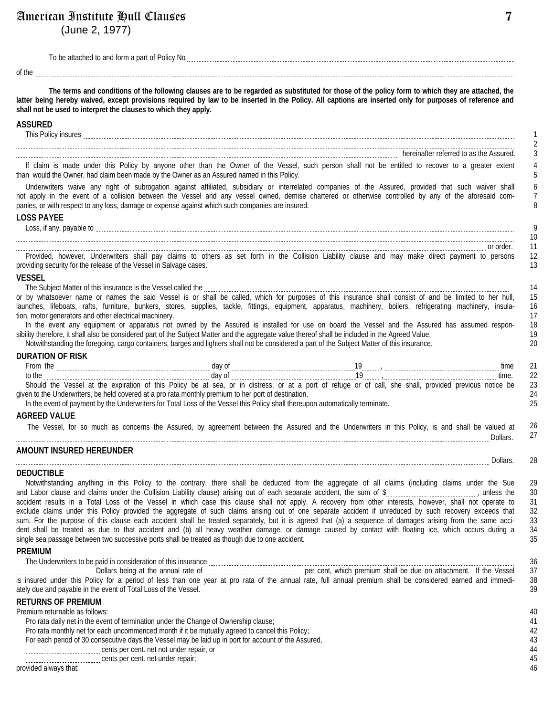# American Institute Hull Clauses **7**

(June 2, 1977)

**The terms and conditions of the following clauses are to be regarded as substituted for those of the policy form to which they are attached, the latter being hereby waived, except provisions required by law to be inserted in the Policy. All captions are inserted only for purposes of reference and shall not be used to interpret the clauses to which they apply. ASSURED**  This Policy insures **construes and the construction of the construction** of the construction of the construction of the construction of the construction of the construction of the construction of the construction of the co 1 2 hereinafter referred to as the Assured. 3 If claim is made under this Policy by anyone other than the Owner of the Vessel, such person shall not be entitled to recover to a greater extent 4 than would the Owner, had claim been made by the Owner as an Assured named in this Policy. 5 Underwriters waive any right of subrogation against affiliated, subsidiary or interrelated companies of the Assured, provided that such waiver shall 6 not apply in the event of a collision between the Vessel and any vessel owned, demise chartered or otherwise controlled by any of the aforesaid com-7 panies, or with respect to any loss, damage or expense against which such companies are insured. 8 **LOSS PAYEE**  Loss, if any, payable to 9 10 or order. 11 Provided, however, Underwriters shall pay claims to others as set forth in the Collision Liability clause and may make direct payment to persons 12 providing security for the release of the Vessel in Salvage cases. 13 **VESSEL**  The Subject Matter of this insurance is the Vessel called the **conservance conservance conservation** conservation of this insurance is the Vessel called the conservance conservation conservation conservation of the Vessel 14 or by whatsoever name or names the said Vessel is or shall be called, which for purposes of this insurance shall consist of and be limited to her hull, 15 launches, lifeboats, rafts, furniture, bunkers, stores, supplies, tackle, fittings, equipment, apparatus, machinery, boilers, refrigerating machinery, insula-16 tion, motor generators and other electrical machinery. 17 In the event any equipment or apparatus not owned by the Assured is installed for use on board the Vessel and the Assured has assumed respon-18 sibility therefore, it shall also be considered part of the Subject Matter and the aggregate value thereof shall be included in the Agreed Value. 19 Notwithstanding the foregoing, cargo containers, barges and lighters shall not be considered a part of the Subject Matter of this insurance. 20 **DURATION OF RISK**  From the 2000 continuous continuous contraction and day of 2000 continuous contraction and the day of 2000 continuous contraction and the time 21 22 to the day of 19 , time. Should the Vessel at the expiration of this Policy be at sea, or in distress, or at a port of refuge or of call, she shall, provided previous notice be 23 given to the Underwriters, be held covered at a pro rata monthly premium to her port of destination. 24 In the event of payment by the Underwriters for Total Loss of the Vessel this Policy shall thereupon automatically terminate. 25 **AGREED VALUE**  26 The Vessel, for so much as concerns the Assured, by agreement between the Assured and the Underwriters in this Policy, is and shall be valued at 27 Dollars. **AMOUNT INSURED HEREUNDER**  Dollars. 28 **DEDUCTIBLE** Notwithstanding anything in this Policy to the contrary, there shall be deducted from the aggregate of all claims (including claims under the Sue 29 and Labor clause and claims under the Collision Liability clause) arising out of each separate accident, the sum of \$ , unless the 30 accident results in a Total Loss of the Vessel in which case this clause shall not apply. A recovery from other interests, however, shall not operate to 31 exclude claims under this Policy provided the aggregate of such claims arising out of one separate accident if unreduced by such recovery exceeds that 32 sum. For the purpose of this clause each accident shall be treated separately, but it is agreed that (a) a sequence of damages arising from the same acci-33 dent shall be treated as due to that accident and (b) all heavy weather damage, or damage caused by contact with floating ice, which occurs during a 34 single sea passage between two successive ports shall be treated as though due to one accident. 35 **PREMIUM**  The Underwriters to be paid in consideration of this insurance 36 Dollars being at the annual rate of per cent, which premium shall be due on attachment. If the Vessel 37 is insured under this Policy for a period of less than one year at pro rata of the annual rate, full annual premium shall be considered earned and immedi-38 ately due and payable in the event of Total Loss of the Vessel. 39 **RETURNS OF PREMIUM**  Premium returnable as follows: 40 Pro rata daily net in the event of termination under the Change of Ownership clause; 41 Pro rata monthly net for each uncommenced month if it be mutually agreed to cancel this Policy; 42 For each period of 30 consecutive days the Vessel may be laid up in port for account of the Assured, 43 cents per cent. net not under repair, or 44 cents per cent. net under repair; 45

To be attached to and form a part of Policy No **manually contained to the contained and contained** and to and form a part of Policy No **manually contained and contained a** 

of the

provided always that:

46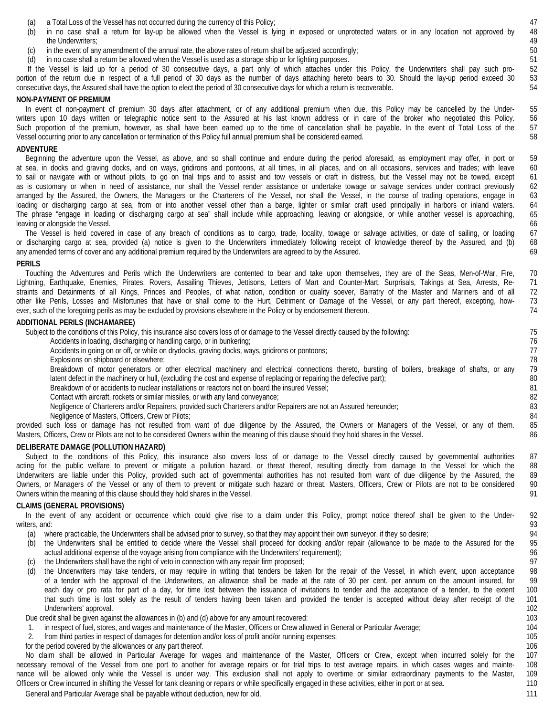- (a) a Total Loss of the Vessel has not occurred during the currency of this Policy;
- (b) in no case shall a return for lay-up be allowed when the Vessel is lying in exposed or unprotected waters or in any location not approved by the Underwriters;

- (c) in the event of any amendment of the annual rate, the above rates of return shall be adjusted accordingly;
- (d) in no case shall a return be allowed when the Vessel is used as a storage ship or for lighting purposes.

If the Vessel is laid up for a period of 30 consecutive days, a part only of which attaches under this Policy, the Underwriters shall pay such proportion of the return due in respect of a full period of 30 days as the number of days attaching hereto bears to 30. Should the lay-up period exceed 30 consecutive days, the Assured shall have the option to elect the period of 30 consecutive days for which a return is recoverable. 52 53 54

## **NON-PAYMENT OF PREMIUM**

In event of non-payment of premium 30 days after attachment, or of any additional premium when due, this Policy may be cancelled by the Underwriters upon 10 days written or telegraphic notice sent to the Assured at his last known address or in care of the broker who negotiated this Policy. Such proportion of the premium, however, as shall have been earned up to the time of cancellation shall be payable. In the event of Total Loss of the Vessel occurring prior to any cancellation or termination of this Policy full annual premium shall be considered earned. 55 56 57 58

#### **ADVENTURE**

 Beginning the adventure upon the Vessel, as above, and so shall continue and endure during the period aforesaid, as employment may offer, in port or at sea, in docks and graving docks, and on ways, gridirons and pontoons, at all times, in all places, and on all occasions, services and trades; with leave to sail or navigate with or without pilots, to go on trial trips and to assist and tow vessels or craft in distress, but the Vessel may not be towed, except as is customary or when in need of assistance, nor shall the Vessel render assistance or undertake towage or salvage services under contract previously arranged by the Assured, the Owners, the Managers or the Charterers of the Vessel, nor shall the Vessel, in the course of trading operations, engage in loading or discharging cargo at sea, from or into another vessel other than a barge, lighter or similar craft used principally in harbors or inland waters. The phrase "engage in loading or discharging cargo at sea" shall include while approaching, leaving or alongside, or while another vessel is approaching, leaving or alongside the Vessel. 59 60 61 62 63 64 65 66

 The Vessel is held covered in case of any breach of conditions as to cargo, trade, locality, towage or salvage activities, or date of sailing, or loading or discharging cargo at sea, provided (a) notice is given to the Underwriters immediately following receipt of knowledge thereof by the Assured, and (b) any amended terms of cover and any additional premium required by the Underwriters are agreed to by the Assured. 67 68 69

#### **PERILS**

 Touching the Adventures and Perils which the Underwriters are contented to bear and take upon themselves, they are of the Seas, Men-of-War, Fire, Lightning, Earthquake, Enemies, Pirates, Rovers, Assailing Thieves, Jettisons, Letters of Mart and Counter-Mart, Surprisals, Takings at Sea, Arrests, Restraints and Detainments of all Kings, Princes and Peoples, of what nation, condition or quality soever, Barratry of the Master and Mariners and of all other like Perils, Losses and Misfortunes that have or shall come to the Hurt, Detriment or Damage of the Vessel, or any part thereof, excepting, however, such of the foregoing perils as may be excluded by provisions elsewhere in the Policy or by endorsement thereon. 70 71 72 73 74

#### **ADDITIONAL PERILS (INCHAMAREE)**

Subject to the conditions of this Policy, this insurance also covers loss of or damage to the Vessel directly caused by the following:

Accidents in loading, discharging or handling cargo, or in bunkering;

Accidents in going on or off, or while on drydocks, graving docks, ways, gridirons or pontoons;

Explosions on shipboard or elsewhere;

Breakdown of motor generators or other electrical machinery and electrical connections thereto, bursting of boilers, breakage of shafts, or any latent defect in the machinery or hull, (excluding the cost and expense of replacing or repairing the defective part);

Breakdown of or accidents to nuclear installations or reactors not on board the insured Vessel;

Contact with aircraft, rockets or similar missiles, or with any land conveyance;

Negligence of Charterers and/or Repairers, provided such Charterers and/or Repairers are not an Assured hereunder;

Negligence of Masters, Officers, Crew or Pilots;

provided such loss or damage has not resulted from want of due diligence by the Assured, the Owners or Managers of the Vessel, or any of them. Masters, Officers, Crew or Pilots are not to be considered Owners within the meaning of this clause should they hold shares in the Vessel.

# **DELIBERATE DAMAGE (POLLUTION HAZARD)**

Subject to the conditions of this Policy, this insurance also covers loss of or damage to the Vessel directly caused by governmental authorities acting for the public welfare to prevent or mitigate a pollution hazard, or threat thereof, resulting directly from damage to the Vessel for which the Underwriters are liable under this Policy, provided such act of governmental authorities has not resulted from want of due diligence by the Assured, the Owners, or Managers of the Vessel or any of them to prevent or mitigate such hazard or threat. Masters, Officers, Crew or Pilots are not to be considered Owners within the meaning of this clause should they hold shares in the Vessel. 87 88 89 90 91

# **CLAIMS (GENERAL PROVISIONS)**

 In the event of any accident or occurrence which could give rise to a claim under this Policy, prompt notice thereof shall be given to the Underwriters, and:

- (a) where practicable, the Underwriters shall be advised prior to survey, so that they may appoint their own surveyor, if they so desire;
- (b) the Underwriters shall be entitled to decide where the Vessel shall proceed for docking and/or repair (allowance to be made to the Assured for the actual additional expense of the voyage arising from compliance with the Underwriters' requirement);
- (c) the Underwriters shall have the right of veto in connection with any repair firm proposed;
- (d) the Underwriters may take tenders, or may require in writing that tenders be taken for the repair of the Vessel, in which event, upon acceptance of a tender with the approval of the Underwriters, an allowance shall be made at the rate of 30 per cent. per annum on the amount insured, for each day or pro rata for part of a day, for time lost between the issuance of invitations to tender and the acceptance of a tender, to the extent that such time is lost solely as the result of tenders having been taken and provided the tender is accepted without delay after receipt of the Underwriters' approval. 100 101 102

Due credit shall be given against the allowances in (b) and (d) above for any amount recovered:

- 1. in respect of fuel, stores, and wages and maintenance of the Master, Officers or Crew allowed in General or Particular Average;
- 2. from third parties in respect of damages for detention and/or loss of profit and/or running expenses;
- for the period covered by the allowances or any part thereof.

 No claim shall be allowed in Particular Average for wages and maintenance of the Master, Officers or Crew, except when incurred solely for the necessary removal of the Vessel from one port to another for average repairs or for trial trips to test average repairs, in which cases wages and maintenance will be allowed only while the Vessel is under way. This exclusion shall not apply to overtime or similar extraordinary payments to the Master, Officers or Crew incurred in shifting the Vessel for tank cleaning or repairs or while specifically engaged in these activities, either in port or at sea. 107 108 109 110

General and Particular Average shall be payable without deduction, new for old. 111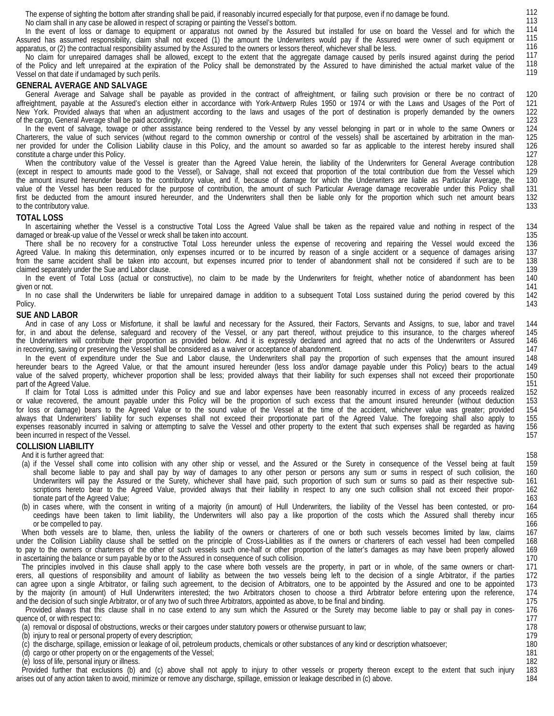The expense of sighting the bottom after stranding shall be paid, if reasonably incurred especially for that purpose, even if no damage be found. No claim shall in any case be allowed in respect of scraping or painting the Vessel's bottom.

 In the event of loss or damage to equipment or apparatus not owned by the Assured but installed for use on board the Vessel and for which the Assured has assumed responsibility, claim shall not exceed (1) the amount the Underwriters would pay if the Assured were owner of such equipment or apparatus, or (2) the contractual responsibility assumed by the Assured to the owners or lessors thereof, whichever shall be less. 114 115 116

112 113

135

141 142 143

158

 No claim for unrepaired damages shall be allowed, except to the extent that the aggregate damage caused by perils insured against during the period of the Policy and left unrepaired at the expiration of the Policy shall be demonstrated by the Assured to have diminished the actual market value of the Vessel on that date if undamaged by such perils. 117 118 119

# **GENERAL AVERAGE AND SALVAGE**

 General Average and Salvage shall be payable as provided in the contract of affreightment, or failing such provision or there be no contract of affreightment, payable at the Assured's election either in accordance with York-Antwerp Rules 1950 or 1974 or with the Laws and Usages of the Port of New York. Provided always that when an adjustment according to the laws and usages of the port of destination is properly demanded by the owners of the cargo, General Average shall be paid accordingly. 120 121 122 123

 In the event of salvage, towage or other assistance being rendered to the Vessel by any vessel belonging in part or in whole to the same Owners or Charterers, the value of such services (without regard to the common ownership or control of the vessels) shall be ascertained by arbitration in the manner provided for under the Collision Liability clause in this Policy, and the amount so awarded so far as applicable to the interest hereby insured shall constitute a charge under this Policy. 124 125 126 127

When the contributory value of the Vessel is greater than the Agreed Value herein, the liability of the Underwriters for General Average contribution (except in respect to amounts made good to the Vessel), or Salvage, shall not exceed that proportion of the total contribution due from the Vessel which the amount insured hereunder bears to the contributory value, and if, because of damage for which the Underwriters are liable as Particular Average, the value of the Vessel has been reduced for the purpose of contribution, the amount of such Particular Average damage recoverable under this Policy shall first be deducted from the amount insured hereunder, and the Underwriters shall then be liable only for the proportion which such net amount bears to the contributory value. 128 129 130 131 132 133

# **TOTAL LOSS**

 In ascertaining whether the Vessel is a constructive Total Loss the Agreed Value shall be taken as the repaired value and nothing in respect of the damaged or break-up value of the Vessel or wreck shall be taken into account. 134

There shall be no recovery for a constructive Total Loss hereunder unless the expense of recovering and repairing the Vessel would exceed the Agreed Value. In making this determination, only expenses incurred or to be incurred by reason of a single accident or a sequence of damages arising from the same accident shall be taken into account, but expenses incurred prior to tender of abandonment shall not be considered if such are to be claimed separately under the Sue and Labor clause. 136 137 138 139 140

 In the event of Total Loss (actual or constructive), no claim to be made by the Underwriters for freight, whether notice of abandonment has been given or not.

 In no case shall the Underwriters be liable for unrepaired damage in addition to a subsequent Total Loss sustained during the period covered by this Policy.

#### **SUE AND LABOR**

 And in case of any Loss or Misfortune, it shall be lawful and necessary for the Assured, their Factors, Servants and Assigns, to sue, labor and travel for, in and about the defense, safeguard and recovery of the Vessel, or any part thereof, without prejudice to this insurance, to the charges whereof the Underwriters will contribute their proportion as provided below. And it is expressly declared and agreed that no acts of the Underwriters or Assured in recovering, saving or preserving the Vessel shall be considered as a waiver or acceptance of abandonment. 144 145 146 147

In the event of expenditure under the Sue and Labor clause, the Underwriters shall pay the proportion of such expenses that the amount insured hereunder bears to the Agreed Value, or that the amount insured hereunder (less loss and/or damage payable under this Policy) bears to the actual value of the salved property, whichever proportion shall be less; provided always that their liability for such expenses shall not exceed their proportionate part of the Agreed Value. 148 149 150 151

 If claim for Total Loss is admitted under this Policy and sue and labor expenses have been reasonably incurred in excess of any proceeds realized or value recovered, the amount payable under this Policy will be the proportion of such excess that the amount insured hereunder (without deduction for loss or damage) bears to the Agreed Value or to the sound value of the Vessel at the time of the accident, whichever value was greater; provided always that Underwriters' liability for such expenses shall not exceed their proportionate part of the Agreed Value. The foregoing shall also apply to expenses reasonably incurred in salving or attempting to salve the Vessel and other property to the extent that such expenses shall be regarded as having been incurred in respect of the Vessel. 152 153 154 155 156 157

#### **COLLISION LIABILITY**

And it is further agreed that:

- (a) if the Vessel shall come into collision with any other ship or vessel, and the Assured or the Surety in consequence of the Vessel being at fault shall become liable to pay and shall pay by way of damages to any other person or persons any sum or sums in respect of such collision, the Underwriters will pay the Assured or the Surety, whichever shall have paid, such proportion of such sum or sums so paid as their respective subscriptions hereto bear to the Agreed Value, provided always that their liability in respect to any one such collision shall not exceed their proportionate part of the Agreed Value; 159 160 161 162 163
- (b) in cases where, with the consent in writing of a majority (in amount) of Hull Underwriters, the liability of the Vessel has been contested, or proceedings have been taken to limit liability, the Underwriters will also pay a like proportion of the costs which the Assured shall thereby incur or be compelled to pay. 164 165 166

 When both vessels are to blame, then, unless the liability of the owners or charterers of one or both such vessels becomes limited by law, claims under the Collision Liability clause shall be settled on the principle of Cross-Liabilities as if the owners or charterers of each vessel had been compelled to pay to the owners or charterers of the other of such vessels such one-half or other proportion of the latter's damages as may have been properly allowed in ascertaining the balance or sum payable by or to the Assured in consequence of such collision. 167 168 169 170

 The principles involved in this clause shall apply to the case where both vessels are the property, in part or in whole, of the same owners or charterers, all questions of responsibility and amount of liability as between the two vessels being left to the decision of a single Arbitrator, if the parties can agree upon a single Arbitrator, or failing such agreement, to the decision of Arbitrators, one to be appointed by the Assured and one to be appointed by the majority (in amount) of Hull Underwriters interested; the two Arbitrators chosen to choose a third Arbitrator before entering upon the reference, and the decision of such single Arbitrator, or of any two of such three Arbitrators, appointed as above, to be final and binding. 171 172 173 174 175

 Provided always that this clause shall in no case extend to any sum which the Assured or the Surety may become liable to pay or shall pay in conesquence of, or with respect to:

(a) removal or disposal of obstructions, wrecks or their cargoes under statutory powers or otherwise pursuant to law;

(b) injury to real or personal property of every description;

(c) the discharge, spillage, emission or leakage of oil, petroleum products, chemicals or other substances of any kind or description whatsoever;

(d) cargo or other property on or the engagements of the Vessel;

(e) loss of life, personal injury or illness.

 Provided further that exclusions (b) and (c) above shall not apply to injury to other vessels or property thereon except to the extent that such injury arises out of any action taken to avoid, minimize or remove any discharge, spillage, emission or leakage described in (c) above.